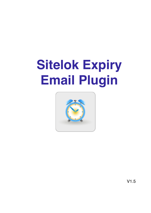# **Sitelok Expiry Email Plugin**



 $V1.5$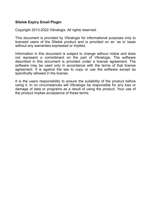#### **Sitelok Expiry Email Plugin**

Copyright 2013-2022 Vibralogix. All rights reserved.

This document is provided by Vibralogix for informational purposes only to licensed users of the Sitelok product and is provided on an 'as is' basis without any warranties expressed or implied.

Information in this document is subject to change without notice and does not represent a commitment on the part of Vibralogix. The software described in this document is provided under a license agreement. The software may be used only in accordance with the terms of that license agreement. It is against the law to copy or use the software except as specifically allowed in the license.

It is the users responsibility to ensure the suitability of the product before using it. In no circumstances will Vibralogix be responsible for any loss or damage of data or programs as a result of using the product. Your use of the product implies acceptance of these terms.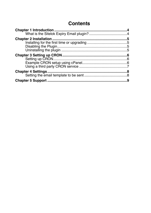## **Contents**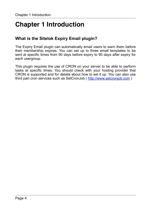# <span id="page-3-0"></span>**Chapter 1 Introduction**

## <span id="page-3-1"></span>**What is the Sitelok Expiry Email plugin?**

The Expiry Email plugin can automatically email users to warn them before their membership expires. You can set up to three email templates to be sent at specific times from 90 days before expiry to 90 days after expiry for each usergroup.

This plugin requires the use of CRON on your server to be able to perform tasks at specific times. You should check with your hosting provider that CRON is supported and for details about how to set it up. You can also use third part cron services such as SetCronJob (<http://www.setcronjob.com> )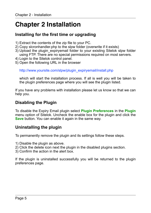# <span id="page-4-0"></span>**Chapter 2 Installation**

#### <span id="page-4-1"></span>**Installing for the first time or upgrading**

- 1) Extract the contents of the zip file to your PC.
- 2) Copy slcronhandler.php to the slpw folder (overwrite if it exists)
- 3) Upload the plugin expiryemail folder to your existing Sitelok slpw folder using FTP. There are no special permissions required on most servers.
- 4) Login to the Sitelok control panel.
- 5) Open the following URL in the browser

http://www.yoursite.com/slpw/plugin\_expiryemail/install.php

which will start the installation process. If all is well you will be taken to the plugin preferences page where you will see the plugin listed.

If you have any problems with installation please let us know so that we can help you.

## <span id="page-4-2"></span>**Disabling the Plugin**

To disable the Expiry Email plugin select **Plugin Preferences** in the **Plugin** menu option of Sitelok. Uncheck the enable box for the plugin and click the **Save** button. You can enable it again in the same way.

## <span id="page-4-3"></span>**Uninstalling the plugin**

To permanently remove the plugin and its settings follow these steps.

- 1) Disable the plugin as above.
- 2) Click the delete icon next the plugin in the disabled plugins section.
- 3) Confirm the action in the alert box.

If the plugin is uninstalled successfully you will be returned to the plugin preferences page.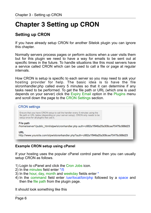# <span id="page-5-0"></span>**Chapter 3 Setting up CRON**

## <span id="page-5-1"></span>**Setting up CRON**

If you have already setup CRON for another Sitelok plugin you can ignore this chapter.

Normally servers process pages or perform actions when a user visits them but for this plugin we need to have a way for emails to be sent out at specific times in the future. To handle situations like this most servers have a service called CRON which can be used to call a file or page at regular intervals.

How CRON is setup is specific to each server so you may need to ask your hosting provider for help. The basic idea is to have the file slcronhandler.php called every 5 minutes so that it can determine if any tasks need to be performed. To get the file path or URL (which one is used depends on your server) click the Expiry Email option in the Plugins menu and scroll down the page to the CRON Settings section.

#### **CRON** settings

Ensure that you have CRON setup to call the handler every 5 minutes using the file path or URL below (depending on your server setup). CRON only needs to be setup once for all plugins that use it.

#### **File path**

/home/server1/public\_html/slpw/slcronhandler.php auth=c662a1f946a25a308cee70475c568d23

#### URL

http://www.yoursite.com/slpw/slcronhandler.php?auth=c662a1f946a25a308cee70475c568d23

#### <span id="page-5-2"></span>**Example CRON setup using cPanel**

If your hosting uses the popular cPanel control panel then you can usually setup CRON as follows.

- 1) Login to cPanel and click the Cron Jobs icon.
- 2) In the minutes field enter \*/5
- 3) In the hour, day, month and weekday fields enter \*
- 4) In the command field enter /usr/local/bin/php followed by a space and then the file path from the plugin page.

It should look something like this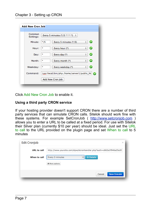| Common<br>Settings: | Every 5 minutes $(*/5 ***)$<br>÷             |           |
|---------------------|----------------------------------------------|-----------|
| Minute:             | */5<br>Every 5 minutes (*/5)<br>÷            | ø         |
| Hour:               | Every hour (*)<br>*<br>÷                     | c         |
| Day:                | Every day (*)<br>÷<br>$\star$                | ø         |
| Month:              | Every month (*)<br>$\star$<br>÷              | $\bullet$ |
| Weekday:            | Every weekday (*)<br>*<br>÷                  |           |
| Command:            | /usr/local/bin/php /home/server1/public_ht ? |           |

Click Add New Cron Job to enable it.

#### <span id="page-6-0"></span>**Using a third party CRON service**

If your hosting provider doesn't support CRON there are a number of third party services that can simulate CRON calls. Sitelok should work fine with these systems. For example SetCronJob ( <http://www.setcronjob.com>) allows you to enter a URL to be called at a fixed period. For use with Sitelok their Silver plan (currently \$10 per year) should be ideal. Just set the URL to call to the URL provided on the plugin page and set When to call to 5 minutes

| Edit CronJob       | $\times$                                                             |
|--------------------|----------------------------------------------------------------------|
| <b>URL</b> to call | http://www.yoursite.com/slpw/slcronhandler.php?auth=c662a1f946a25a30 |
| When to call       | © Details<br>Every 5 minutes<br>÷                                    |
|                    | <b>☆ More options</b>                                                |
|                    | Save CronJob<br>Cancel                                               |
|                    |                                                                      |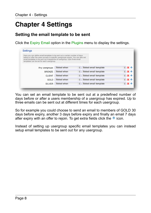# <span id="page-7-0"></span>**Chapter 4 Settings**

## <span id="page-7-1"></span>**Setting the email template to be sent**

Click the Expiry Email option in the Plugins menu to display the settings.

| Here you can define email templates to be sent out a certain number of days<br>before or after the users access to specific usergroups expire. You can also set<br>email templates to be sent out irrespective of usergroup. Upto three email<br>templates can be set for each usergroup. |                    |   |                       |         |
|-------------------------------------------------------------------------------------------------------------------------------------------------------------------------------------------------------------------------------------------------------------------------------------------|--------------------|---|-----------------------|---------|
| Any usergroups                                                                                                                                                                                                                                                                            | <b>Select when</b> | ÷ | Select email template | $+ 8 +$ |
| <b>BRONZE</b>                                                                                                                                                                                                                                                                             | <b>Select when</b> | ÷ | Select email template | $+ 8 +$ |
| <b>CLIENT</b>                                                                                                                                                                                                                                                                             | <b>Select when</b> | ÷ | Select email template | $+ 8 +$ |
| <b>GOLD</b>                                                                                                                                                                                                                                                                               | <b>Select when</b> | ÷ | Select email template | $+ 8 +$ |
| <b>SILVER</b>                                                                                                                                                                                                                                                                             | <b>Select when</b> | ÷ | Select email template | $+ 8 +$ |

You can set an email template to be sent out at a predefined number of days before or after a users membership of a usergroup has expired. Up to three emails can be sent out at different times for each usergroup.

So for example you could choose to send an email to members of GOLD 30 days before expiry, another 3 days before expiry and finally an email 7 days after expiry with an offer to rejoin. To get extra fields click the  $\pm$  icon.

Instead of setting up usergroup specific email templates you can instead setup email templates to be sent out for any usergroup.